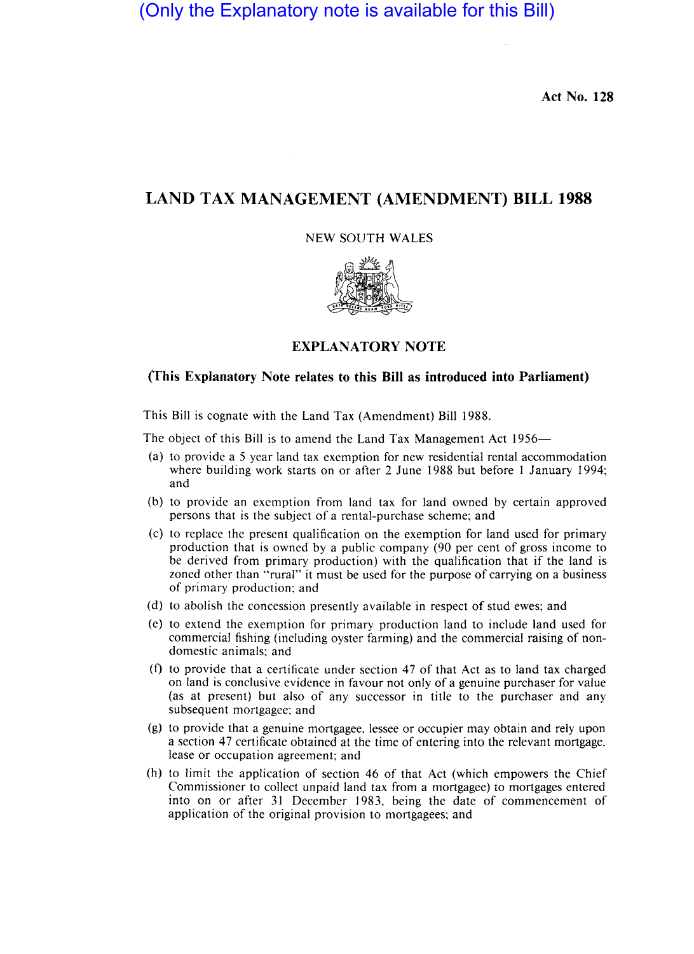(Only the Explanatory note is available for this Bill)

**Act No. 128** 

# **LAND TAX MANAGEMENT (AMENDMENT) BILL 1988**

# NEW SOUTH WALES



## **EXPLANATORY NOTE**

# **(This Explanatory Note relates to this Bill as introduced into Parliament)**

This Bill is cognate with the Land Tax (Amendment) Bill 1988.

The object of this Bill is to amend the Land Tax Management Act 1956-

- (a) to provide a 5 year land tax exemption for new residential rental accommodation where building work starts on or after 2 June 1988 but before 1 January 1994; and
- (b) to provide an exemption from land tax for land owned by certain approved persons that is the subject of a rental-purchase scheme; and
- (c) to replace the present qualification on the exemption for land used for primary production that is owned by a public company (90 per cent of gross income to be derived from primary production) with the qualification that if the land is zoned other than "rural" it must be used for the purpose of carrying on a business of primary production; and
- (d) to abolish the concession presently available in respect of stud ewes; and
- (c) to extend the exemption for primary production land to include land used for commercial fishing (including oyster farming) and the commercial raising of nondomestic animals; and
- (f) to provide that a certificate under section 47 of that Act as to land tax charged on land is conclusive evidence in favour not only of a genuine purchaser for value (as at present) but also of any successor in title to the purchaser and any subsequent mortgagee; and
- (g) to provide that a genuine mortgagee. lessee or occupier may obtain and rely upon a section 47 certificate obtained at the time of entering into the relevant mortgage. lease or occupation agreement; and
- (h) to limit the application of section 46 of that Act (which empowers the Chief Commissioner to collect unpaid land tax from a mortgagee) to mortgages entered into on or after 31 December 1983. being the date of commencement of application of the original provision to mortgagees; and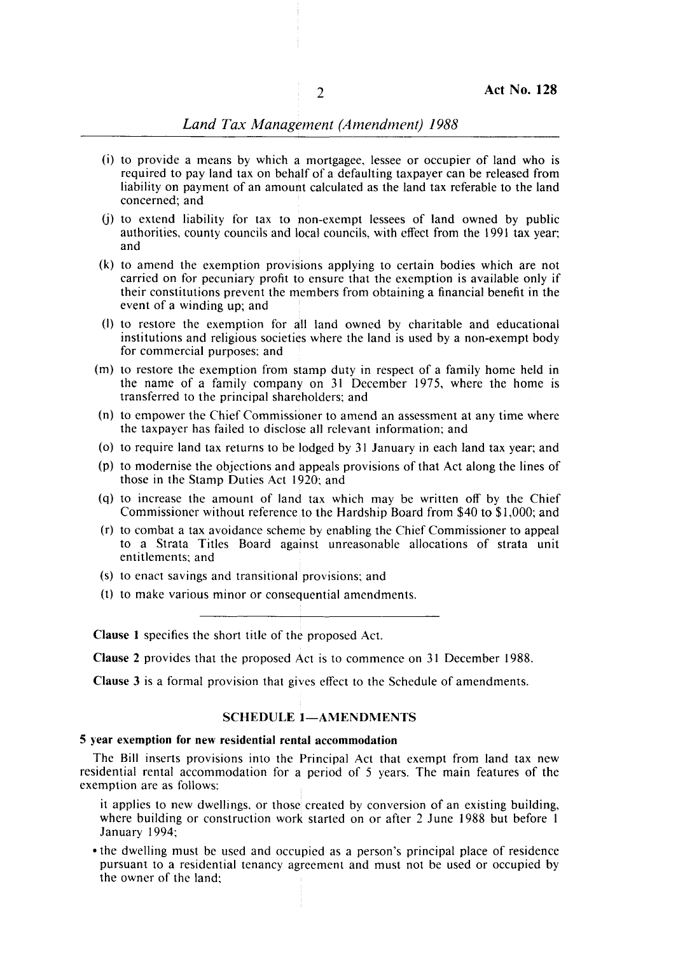# **Land Tax Management (Amendment) 1988**

- (i) to provide a means by which a mortgagee, lessee or occupier of land who is required to pay land tax on behalf of a defaulting taxpayer can be released from liability on payment of an amount calculated as the land tax referable to the land concerned; and '
- (j) to extend liability for tax to hon-exempt lessees of land owned by public authorities, county councils and Ibcal councils, with effect from the 1991 tax year; and
- $(k)$  to amend the exemption provisions applying to certain bodies which are not carried on for pecuniary profit to ensure that the exemption is available only if their constitutions prevent the members from obtaining a financial benefit in the event of a winding up; and
- (I) to restore the exemption for all land owned by charitable and educational institutions and religious societies where the land is used by a non-exempt body for commercial purposes; and
- (m) to restore the exemption from stamp duty in respect of a family home held in the name of a family company on 31 December 1975, where the home is transferred to the principal shareholders; and
- (n) to empower the Chief Commissioner to amend an assessment at any time where the taxpayer has failed to disclose all relevant information; and
- (0) to require land tax returns to be lodged by 31 January in each land tax year; and
- (p) to modernise the objections and appeals provisions of that Act along the lines of those in the Stamp Duties Act 1920; and
- (q) to increase the amount of land tax which may be written off by the Chief Commissioner without reference to the Hardship Board from \$40 to \$1,000; and
- $(r)$  to combat a tax avoidance scheme by enabling the Chief Commissioner to appeal to a Strata Titles Board against unreasonable allocations of strata unit entitlements; and
- (s) to enact savings and transitional: provisions; and
- (1) to make various minor or consequential amendments.

Clause 1 specifies the short title of the proposed Act.

Clause 2 provides that the proposed Act is to commence on 31 December 1988.

Clause 3 is a formal provision that gives effect to the Schedule of amendments.

### SCHEDULE 1-AMENDMENTS

#### 5 year exemption for new residential rental accommodation

The Bill inserts provisions into the Principal Act that exempt from land tax new residential rental accommodation for a period of 5 years. The main features of the exemption are as follows:

it applies to new dwellings, or those created by conversion of an existing building, where building or construction work started on or after 2 June 1988 but before  $1$ January 1994;

• the dwelling must be used and occupied as a person's principal place of residence pursuant to a residential tenancy agreement and must not be used or occupied by the owner of the land;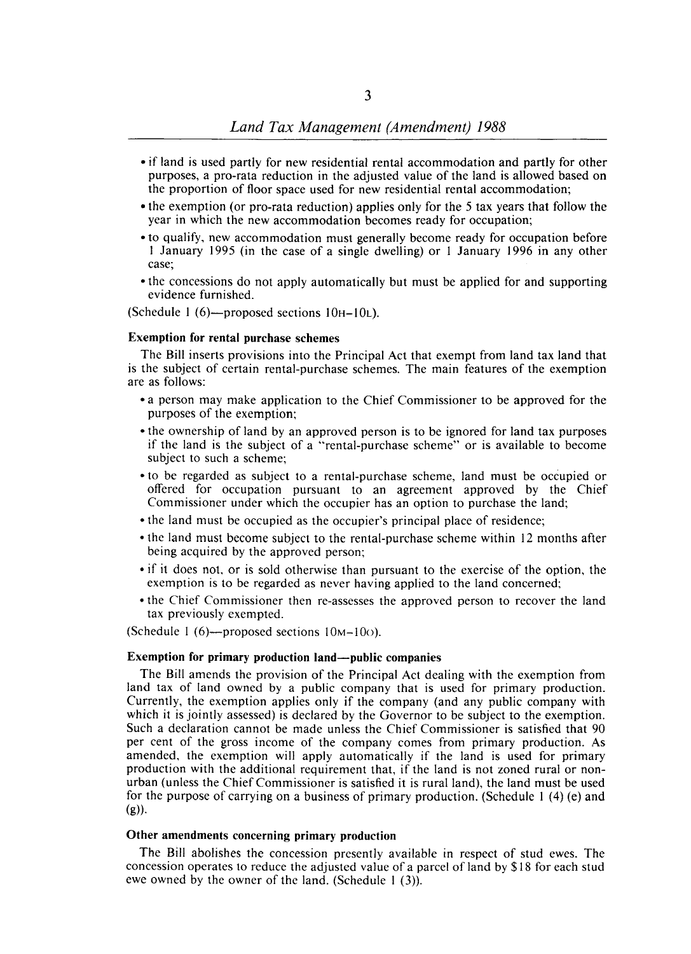- if land is used partly for new residential rental accommodation and partly for other purposes, a pro-rata reduction in the adjusted value of the land is allowed based on the proportion of floor space used for new residential rental accommodation;
- the exemption (or pro-rata reduction) applies only for the 5 tax years that follow the year in which the new accommodation becomes ready for occupation;
- to qualify, new accommodation must generally become ready for occupation before I January 1995 (in the case of a single dwelling) or I January 1996 in any other case;
- the concessions do not apply automatically but must be applied for and supporting evidence furnished.

(Schedule I (6)-proposed sections IOH-IOL).

# Exemption for rental purchase schemes

The Bill inserts provisions into the Principal Act that exempt from land tax land that is the subject of certain rental-purchase schemes. The main features of the exemption are as follows:

- a person may make application to the Chief Commissioner to be approved for the purposes of the exemption;
- the ownership of land by an approved person is to be ignored for land tax purposes if the land is the subject of a "rental-purchase scheme" or is available to become subject to such a scheme;
- to be regarded as subject to a rental-purchase scheme, land must be occupied or offered for occupation pursuant to an agreement approved by the Chief Commissioner under which the occupier has an option to purchase the land;
- the land must be occupied as the occupier's principal place of residence;
- the land must become subject to the rental-purchase scheme within 12 months after being acquired by the approved person;
- if it does not, or is sold otherwise than pursuant to the exercise of the option, the exemption is to be regarded as never having applied to the land concerned;
- the Chief Commissioner then re-assesses the approved person to recover the land tax previously exempted.

(Schedule 1 (6)—proposed sections  $10M-10O$ ).

#### Exemption for primary production land—public companies

The Bill amends the provision of the Principal Act dealing with the exemption from land tax of land owned by a public company that is used for primary production. Currently, the exemption applies only if the company (and any public company with which it is jointly assessed) is declared by the Governor to be subject to the exemption. Such a declaration cannot be made unless the Chief Commissioner is satisfied that 90 per cent of the gross income of the company comes from primary production. As amended, the exemption will apply automatically if the land is used for primary production with the additional requirement that, if the land is not zoned rural or nonurban (unless the Chief Commissioner is satisfied it is rural land), the land must be used for the purpose of carrying on a business of primary production. (Schedule I (4) (e) and  $(g)$ ).

## Other amendments concerning primary production

The Bill abolishes the concession presently available in respect of stud ewes. The concession operates to reduce the adjusted value of a parcel of land by \$18 for each stud ewe owned by the owner of the land. (Schedule 1 (3)).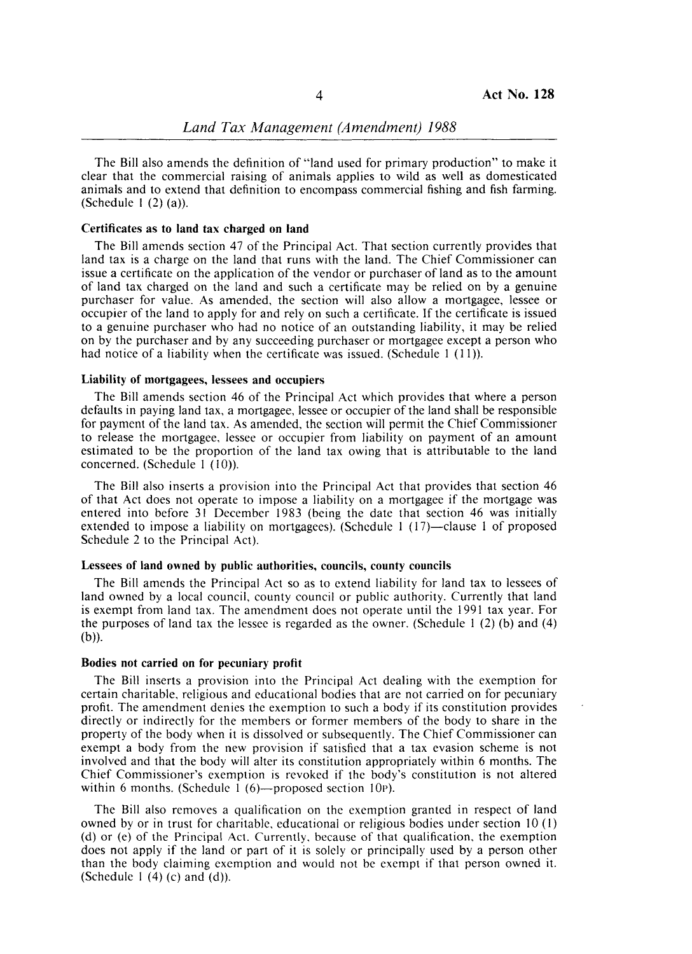The Bill also amends the definition of "land used for primary production" to make it clear that the commercial raising of animals applies to wild as well as domesticated animals and to extend that definition to encompass commercial fishing and fish farming. (Schedule  $1(2)(a)$ ).

### Certificates as to land tax charged on land

The Bill amends section 47 of the Principal Act. That section currently provides that land tax is a charge on the land that runs with the land. The Chief Commissioner can issue a certificate on the application of the vendor or purchaser of land as to the amount of land tax charged on the land and such a certificate may be relied on by a genuine purchaser for value. As amended, the section will also allow a mortgagee, lessee or occupier of the land to apply for and rely on such a certificate. If the certificate is issued to a genuine purchaser who had no notice of an outstanding liability, it may be relied on by the purchaser and by any succeeding purchaser or mortgagee except a person who had notice of a liability when the certificate was issued. (Schedule  $1$  (11)).

### Liability of mortgagees, lessees and occupiers

The Bill amends section 46 of the Principal Act which provides that where a person defaults in paying land tax, a mortgagee, lessee or occupier of the land shall be responsible for payment of the land tax. As amended; the section will permit the Chief Commissioner to release the mortgagee, lessee or occupier from liability on payment of an amount estimated to be the proportion of the land tax owing that is attributable to the land concerned. (Schedule 1 (10)).

The Bill also inserts a provision into the Principal Act that provides that section 46 of that Act does not operate to impose a liability on a mortgagee if the mortgage was entered into before 31 December 1983 (being the date that section 46 was initially extended to impose a liability on mortgagees). (Schedule  $1 (17)$ -clause 1 of proposed Schedule 2 to the Principal Act).

#### Lessees of land owned by public authorities, councils, county councils

The Bill amends the Principal Act so as to extend liability for land tax to lessees of land owned by a local council, county council or public authority. Currently that land is exempt from land tax. The amendment does not operate until the 1991 tax year. For the purposes of land tax the lessee is regarded as the owner. (Schedule 1  $(2)$  (b) and  $(4)$  $(b)$ ).

#### Bodies not carried on for pecuniary profit

The Bill inserts a provision into the Principal Act dealing with the exemption for certain charitable, religious and educational bodies that are not carried on for pecuniary profit. The amendment denies the exemption to such a body if its constitution provides directly or indirectly for the members or former members of the body to share in the property of the body when it is dissolved or subsequently. The Chief Commissioner can exempt a body from the new provision if satisfied that a tax evasion scheme is not involved and that the body will alter its constitution appropriately within 6 months. The Chief Commissioner's exemption is revoked if the body's constitution is not altered within 6 months. (Schedule 1  $(6)$ —proposed section 10P).

The Bill also removes a qualification on the exemption granted in respect of land owned by or in trust for charitable, educational or religious bodies under section 10 (I) (d) or (e) of the Principal Act. Currently. because of that qualification, the exemption does not apply if the land or part of it is solely or principally used by a person other than the body claiming exemption and would not be exempt if that person owned it. (Schedule  $1(4)(c)$  and  $(d)$ ).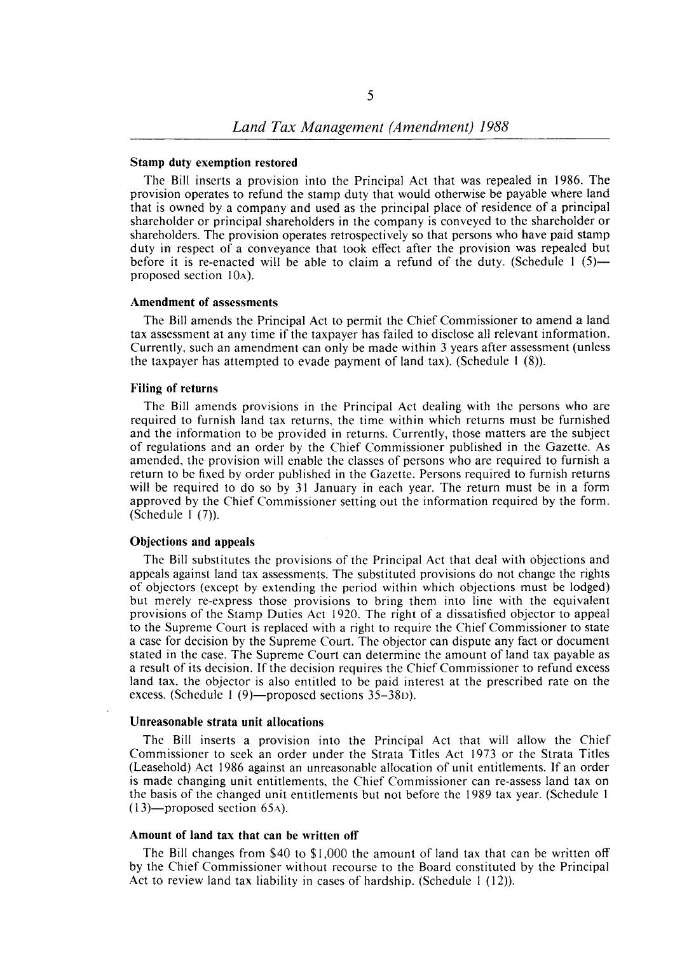### Stamp duty exemption restored

The Bill inserts a provision into the Principal Act that was repealed in 1986. The provision operates to refund the stamp duty that would otherwise be payable where land that is owned by a company and used as the principal place of residence of a principal shareholder or principal shareholders in the company is conveyed to the shareholder or shareholders. The provision operates retrospectively so that persons who have paid stamp duty in respect of a conveyance that took effect after the provision was repealed but before it is re-enacted will be able to claim a refund of the duty. (Schedule  $1(5)$  proposed section lOA).

#### Amendment of assessments

The Bill amends the Principal Act to permit the Chief Commissioner to amend a land tax assessment at any time if the taxpayer has failed to disclose all relevant information. Currently. such an amendment can only be made within 3 years after assessment (unless the taxpayer has attempted to evade payment of land tax). (Schedule  $1(8)$ ).

### Filing of returns

The Bill amends provisions in the Principal Act dealing with the persons who are required to furnish land tax returns. the time within which returns must be furnished and the information to be provided in returns. Currently. those matters are the subject of regulations and an order by the Chief Commissioner published in the Gazette. As amended. the provision will enable the classes of persons who are required to furnish a return to be fixed by order published in the Gazette. Persons required to furnish returns will be required to do so by 31 January in each year. The return must be in a form approved by the Chief Commissioner setting out the information required by the form. (Schedule I (7».

### Objections and appeals

The Bill substitutes the provisions of the Principal Act that deal with objections and appeals against land tax assessments. The substituted provisions do not change the rights of objectors (except by extending the period within which objections must be lodged) but merely re-express those provisions to bring them into line with the equivalent provisions of the Stamp Duties Act 1920. The right of a dissatisfied objector to appeal to the Supreme Court is replaced with a right to require the Chief Commissioner to state a case for decision by the Supreme Court. The objector can dispute any fact or document stated in the case. The Supreme Court can determine the amount of land tax payable as a result of its decision. If the decision requires the Chief Commissioner to refund excess land tax. the objector is also entitled to be paid interest at the prescribed rate on the excess. (Schedule 1 $(9)$ —proposed sections 35–38D).

#### Unreasonable strata unit allocations

The Bill inserts a provision into the Principal Act that will allow the Chief Commissioner to seek an order under the Strata Titles Act 1973 or the Strata Titles (Leasehold) Act 1986 against an unreasonable allocation of unit entitlements. If an order is made changing unit entitlements. the Chief Commissioner can re-assess land tax on the basis of the changed unit entitlements but not before the 1989 tax year. (Schedule I  $(13)$ —proposed section 65A).

### Amount of land tax that can be written off

The Bill changes from \$40 to \$1.000 the amount of land tax that can be written off by the Chief Commissioner without recourse to the Board constituted by the Principal Act to review land tax liability in cases of hardship. (Schedule 1 (12)).